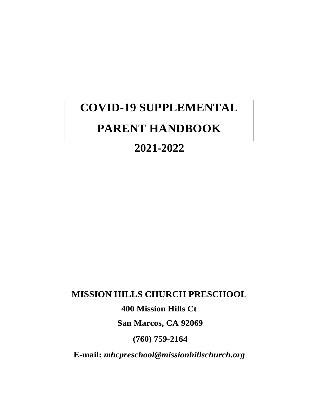# **COVID-19 SUPPLEMENTAL PARENT HANDBOOK**

# **2021-2022**

# **MISSION HILLS CHURCH PRESCHOOL**

**400 Mission Hills Ct**

**San Marcos, CA 92069**

**(760) 759-2164**

**E-mail:** *mhcpreschool@missionhillschurch.org*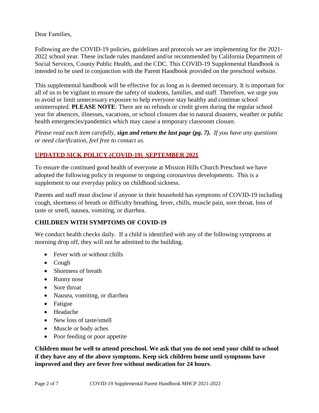Dear Families,

Following are the COVID-19 policies, guidelines and protocols we are implementing for the 2021- 2022 school year. These include rules mandated and/or recommended by California Department of Social Services, County Public Health, and the CDC. This COVID-19 Supplemental Handbook is intended to be used in conjunction with the Parent Handbook provided on the preschool website.

This supplemental handbook will be effective for as long as is deemed necessary. It is important for all of us to be vigilant to ensure the safety of students, families, and staff. Therefore, we urge you to avoid or limit unnecessary exposure to help everyone stay healthy and continue school uninterrupted. **PLEASE NOTE**: There are no refunds or credit given during the regular school year for absences, illnesses, vacations, or school closures due to natural disasters, weather or public health emergencies/pandemics which may cause a temporary classroom closure.

*Please read each item carefully, sign and return the last page (pg. 7). If you have any questions or need clarification, feel free to contact us.*

# **UPDATED SICK POLICY (COVID-19) SEPTEMBER 2021**

To ensure the continued good health of everyone at Mission Hills Church Preschool we have adopted the following policy in response to ongoing coronavirus developments. This is a supplement to our everyday policy on childhood sickness.

Parents and staff must disclose if anyone in their household has symptoms of COVID-19 including cough, shortness of breath or difficulty breathing, fever, chills, muscle pain, sore throat, loss of taste or smell, nausea, vomiting, or diarrhea.

# **CHILDREN WITH SYMPTOMS OF COVID-19**

We conduct health checks daily. If a child is identified with any of the following symptoms at morning drop off, they will not be admitted to the building.

- Fever with or without chills
- Cough
- Shortness of breath
- Runny nose
- Sore throat
- Nausea, vomiting, or diarrhea
- Fatigue
- Headache
- New loss of taste/smell
- Muscle or body aches
- Poor feeding or poor appetite

**Children must be well to attend preschool. We ask that you do not send your child to school if they have any of the above symptoms. Keep sick children home until symptoms have improved and they are fever free without medication for 24 hours**.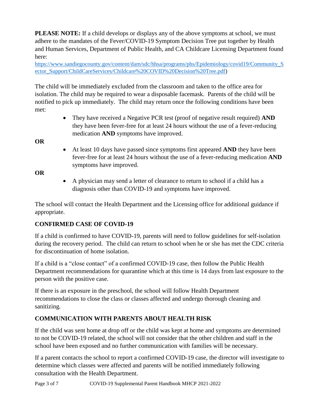**PLEASE NOTE:** If a child develops or displays any of the above symptoms at school, we must adhere to the mandates of the Fever/COVID-19 Symptom Decision Tree put together by Health and Human Services, Department of Public Health, and CA Childcare Licensing Department found here:

[https://www.sandiegocounty.gov/content/dam/sdc/hhsa/programs/phs/Epidemiology/covid19/Community\\_S](https://www.sandiegocounty.gov/content/dam/sdc/hhsa/programs/phs/Epidemiology/covid19/Community_Sector_Support/ChildCareServices/Childcare%20COVID%20Decision%20Tree.pdf) [ector\\_Support/ChildCareServices/Childcare%20COVID%20Decision%20Tree.pdf\)](https://www.sandiegocounty.gov/content/dam/sdc/hhsa/programs/phs/Epidemiology/covid19/Community_Sector_Support/ChildCareServices/Childcare%20COVID%20Decision%20Tree.pdf)

The child will be immediately excluded from the classroom and taken to the office area for isolation. The child may be required to wear a disposable facemask. Parents of the child will be notified to pick up immediately. The child may return once the following conditions have been met:

> They have received a Negative PCR test (proof of negative result required) **AND** they have been fever-free for at least 24 hours without the use of a fever-reducing medication **AND** symptoms have improved.

**OR**

 At least 10 days have passed since symptoms first appeared **AND** they have been fever-free for at least 24 hours without the use of a fever-reducing medication **AND** symptoms have improved.

## **OR**

 A physician may send a letter of clearance to return to school if a child has a diagnosis other than COVID-19 and symptoms have improved.

The school will contact the Health Department and the Licensing office for additional guidance if appropriate.

# **CONFIRMED CASE OF COVID-19**

If a child is confirmed to have COVID-19, parents will need to follow guidelines for self-isolation during the recovery period. The child can return to school when he or she has met the CDC criteria for discontinuation of home isolation.

If a child is a "close contact" of a confirmed COVID-19 case, then follow the Public Health Department recommendations for quarantine which at this time is 14 days from last exposure to the person with the positive case.

If there is an exposure in the preschool, the school will follow Health Department recommendations to close the class or classes affected and undergo thorough cleaning and sanitizing.

# **COMMUNICATION WITH PARENTS ABOUT HEALTH RISK**

If the child was sent home at drop off or the child was kept at home and symptoms are determined to not be COVID-19 related, the school will not consider that the other children and staff in the school have been exposed and no further communication with families will be necessary.

If a parent contacts the school to report a confirmed COVID-19 case, the director will investigate to determine which classes were affected and parents will be notified immediately following consultation with the Health Department.

Page 3 of 7 COVID-19 Supplemental Parent Handbook MHCP 2021-2022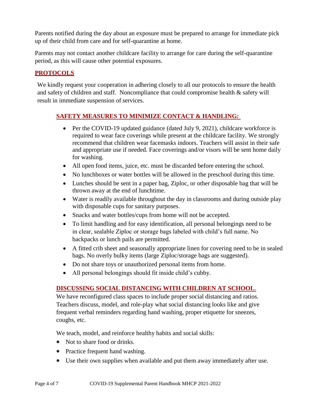Parents notified during the day about an exposure must be prepared to arrange for immediate pick up of their child from care and for self-quarantine at home.

Parents may not contact another childcare facility to arrange for care during the self-quarantine period, as this will cause other potential exposures.

# **PROTOCOLS**

We kindly request your cooperation in adhering closely to all our protocols to ensure the health and safety of children and staff. Noncompliance that could compromise health & safety will result in immediate suspension of services.

# **SAFETY MEASURES TO MINIMIZE CONTACT & HANDLING:**

- Per the COVID-19 updated guidance (dated July 9, 2021), childcare workforce is required to wear face coverings while present at the childcare facility. We strongly recommend that children wear facemasks indoors. Teachers will assist in their safe and appropriate use if needed. Face coverings and/or visors will be sent home daily for washing.
- All open food items, juice, etc. must be discarded before entering the school.
- No lunchboxes or water bottles will be allowed in the preschool during this time.
- Lunches should be sent in a paper bag, Ziploc, or other disposable bag that will be thrown away at the end of lunchtime.
- Water is readily available throughout the day in classrooms and during outside play with disposable cups for sanitary purposes.
- Snacks and water bottles/cups from home will not be accepted.
- To limit handling and for easy identification, all personal belongings need to be in clear, sealable Ziploc or storage bags labeled with child's full name. No backpacks or lunch pails are permitted.
- A fitted crib sheet and seasonally appropriate linen for covering need to be in sealed bags. No overly bulky items (large Ziploc/storage bags are suggested).
- Do not share toys or unauthorized personal items from home.
- All personal belongings should fit inside child's cubby.

# **DISCUSSING SOCIAL DISTANCING WITH CHILDREN AT SCHOOL**.

We have reconfigured class spaces to include proper social distancing and ratios. Teachers discuss, model, and role-play what social distancing looks like and give frequent verbal reminders regarding hand washing, proper etiquette for sneezes, coughs, etc.

We teach, model, and reinforce healthy habits and social skills:

- Not to share food or drinks.
- Practice frequent hand washing.
- Use their own supplies when available and put them away immediately after use.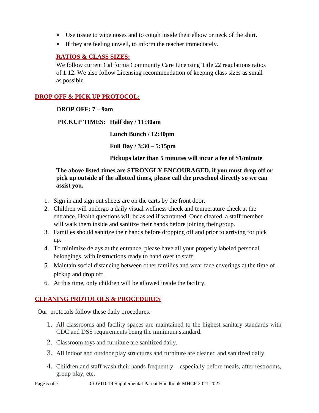- Use tissue to wipe noses and to cough inside their elbow or neck of the shirt.
- If they are feeling unwell, to inform the teacher immediately.

## **RATIOS & CLASS SIZES:**

We follow current California Community Care Licensing Title 22 regulations ratios of 1:12. We also follow Licensing recommendation of keeping class sizes as small as possible.

## **DROP OFF & PICK UP PROTOCOL:**

#### **DROP OFF: 7 – 9am**

**PICKUP TIMES: Half day / 11:30am**

**Lunch Bunch / 12:30pm**

**Full Day / 3:30 – 5:15pm**

**Pickups later than 5 minutes will incur a fee of \$1/minute**

## **The above listed times are STRONGLY ENCOURAGED, if you must drop off or pick up outside of the allotted times, please call the preschool directly so we can assist you.**

- 1. Sign in and sign out sheets are on the carts by the front door.
- 2. Children will undergo a daily visual wellness check and temperature check at the entrance. Health questions will be asked if warranted. Once cleared, a staff member will walk them inside and sanitize their hands before joining their group.
- 3. Families should sanitize their hands before dropping off and prior to arriving for pick up.
- 4. To minimize delays at the entrance, please have all your properly labeled personal belongings, with instructions ready to hand over to staff.
- 5. Maintain social distancing between other families and wear face coverings at the time of pickup and drop off.
- 6. At this time, only children will be allowed inside the facility.

## **CLEANING PROTOCOLS & PROCEDURES**

Our protocols follow these daily procedures:

- 1. All classrooms and facility spaces are maintained to the highest sanitary standards with CDC and DSS requirements being the minimum standard.
- 2. Classroom toys and furniture are sanitized daily.
- 3. All indoor and outdoor play structures and furniture are cleaned and sanitized daily.
- 4. Children and staff wash their hands frequently especially before meals, after restrooms, group play, etc.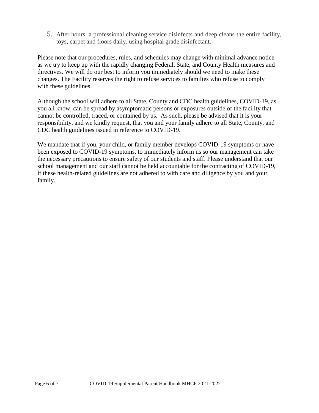5. After hours: a professional cleaning service disinfects and deep cleans the entire facility, toys, carpet and floors daily, using hospital grade disinfectant.

Please note that our procedures, rules, and schedules may change with minimal advance notice as we try to keep up with the rapidly changing Federal, State, and County Health measures and directives. We will do our best to inform you immediately should we need to make these changes. The Facility reserves the right to refuse services to families who refuse to comply with these guidelines.

Although the school will adhere to all State, County and CDC health guidelines, COVID-19, as you all know, can be spread by asymptomatic persons or exposures outside of the facility that cannot be controlled, traced, or contained by us. As such, please be advised that it is your responsibility, and we kindly request, that you and your family adhere to all State, County, and CDC health guidelines issued in reference to COVID-19.

We mandate that if you, your child, or family member develops COVID-19 symptoms or have been exposed to COVID-19 symptoms, to immediately inform us so our management can take the necessary precautions to ensure safety of our students and staff. Please understand that our school management and our staff cannot be held accountable for the contracting of COVID-19, if these health-related guidelines are not adhered to with care and diligence by you and your family.